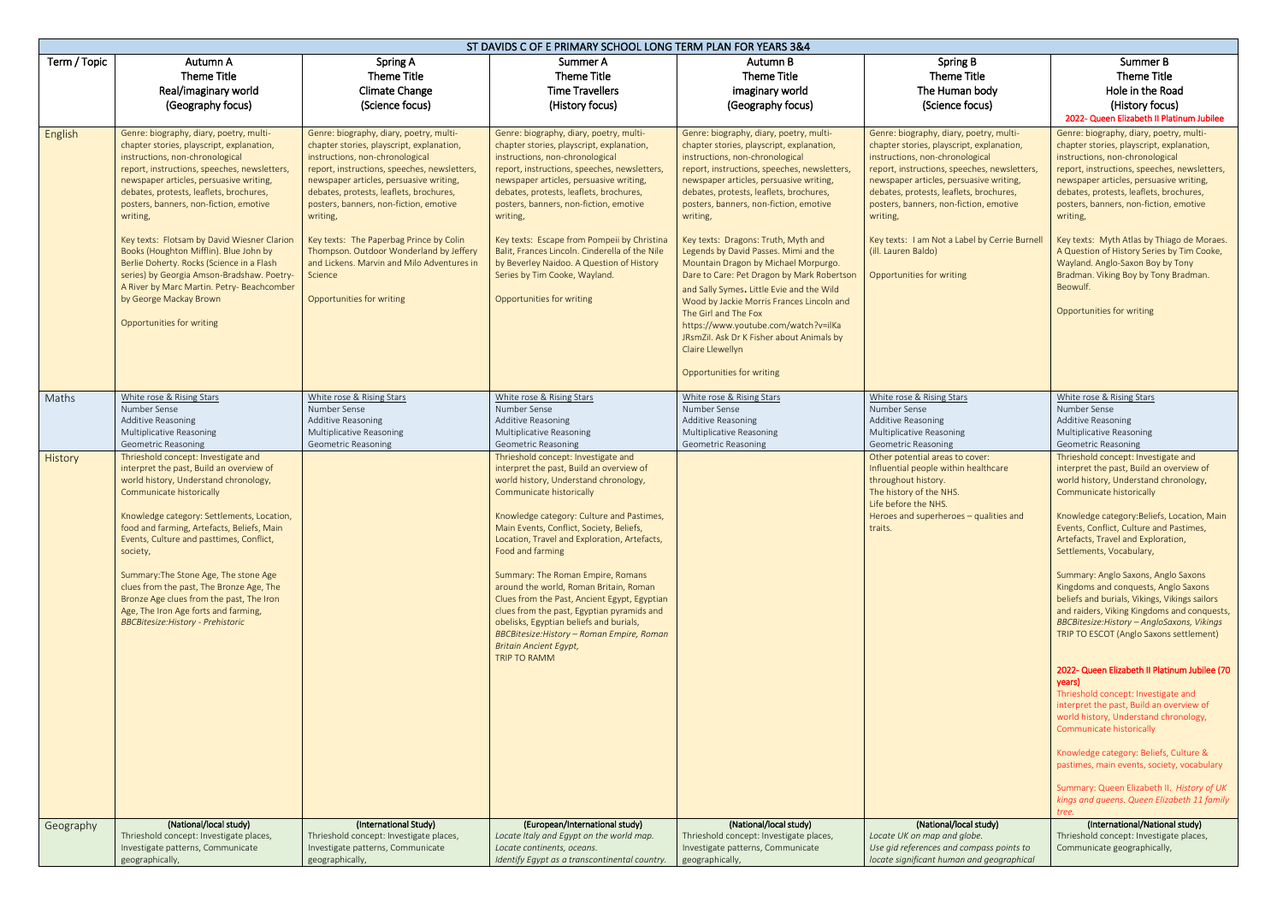|              | ST DAVIDS C OF E PRIMARY SCHOOL LONG TERM PLAN FOR YEARS 3&4                                                                                                                                                                                                                                                                                                                                                                                                                                                                                                                                                 |                                                                                                                                                                                                                                                                                                                                                                                                                                                                                                 |                                                                                                                                                                                                                                                                                                                                                                                                                                                                                                                                                                                                                                                 |                                                                                                                                                                                                                                                                                                                                                                                                                                                                                                                                                                                                                                                                                                                                                   |                                                                                                                                                                                                                                                                                                                                                                                                                          |                                                                                                                                                                                                                                                                                                                                                                                                                                                                                                                                                                                                                                                                                                                                                                                                                                                                                                                                                                                                            |  |  |
|--------------|--------------------------------------------------------------------------------------------------------------------------------------------------------------------------------------------------------------------------------------------------------------------------------------------------------------------------------------------------------------------------------------------------------------------------------------------------------------------------------------------------------------------------------------------------------------------------------------------------------------|-------------------------------------------------------------------------------------------------------------------------------------------------------------------------------------------------------------------------------------------------------------------------------------------------------------------------------------------------------------------------------------------------------------------------------------------------------------------------------------------------|-------------------------------------------------------------------------------------------------------------------------------------------------------------------------------------------------------------------------------------------------------------------------------------------------------------------------------------------------------------------------------------------------------------------------------------------------------------------------------------------------------------------------------------------------------------------------------------------------------------------------------------------------|---------------------------------------------------------------------------------------------------------------------------------------------------------------------------------------------------------------------------------------------------------------------------------------------------------------------------------------------------------------------------------------------------------------------------------------------------------------------------------------------------------------------------------------------------------------------------------------------------------------------------------------------------------------------------------------------------------------------------------------------------|--------------------------------------------------------------------------------------------------------------------------------------------------------------------------------------------------------------------------------------------------------------------------------------------------------------------------------------------------------------------------------------------------------------------------|------------------------------------------------------------------------------------------------------------------------------------------------------------------------------------------------------------------------------------------------------------------------------------------------------------------------------------------------------------------------------------------------------------------------------------------------------------------------------------------------------------------------------------------------------------------------------------------------------------------------------------------------------------------------------------------------------------------------------------------------------------------------------------------------------------------------------------------------------------------------------------------------------------------------------------------------------------------------------------------------------------|--|--|
| Term / Topic | Autumn A<br><b>Theme Title</b><br>Real/imaginary world<br>(Geography focus)                                                                                                                                                                                                                                                                                                                                                                                                                                                                                                                                  | Spring A<br>Theme Title<br><b>Climate Change</b><br>(Science focus)                                                                                                                                                                                                                                                                                                                                                                                                                             | Summer A<br>Theme Title<br><b>Time Travellers</b><br>(History focus)                                                                                                                                                                                                                                                                                                                                                                                                                                                                                                                                                                            | Autumn B<br><b>Theme Title</b><br>imaginary world<br>(Geography focus)                                                                                                                                                                                                                                                                                                                                                                                                                                                                                                                                                                                                                                                                            | Spring B<br>Theme Title<br>The Human body<br>(Science focus)                                                                                                                                                                                                                                                                                                                                                             | Summer B<br>Theme Title<br>Hole in the Road<br>(History focus)<br>2022- Queen Elizabeth II Platinum Jubilee                                                                                                                                                                                                                                                                                                                                                                                                                                                                                                                                                                                                                                                                                                                                                                                                                                                                                                |  |  |
| English      | Genre: biography, diary, poetry, multi-<br>chapter stories, playscript, explanation,<br>instructions, non-chronological<br>report, instructions, speeches, newsletters,<br>newspaper articles, persuasive writing,<br>debates, protests, leaflets, brochures,<br>posters, banners, non-fiction, emotive<br>writing,<br>Key texts: Flotsam by David Wiesner Clarion<br>Books (Houghton Mifflin). Blue John by<br>Berlie Doherty. Rocks (Science in a Flash<br>series) by Georgia Amson-Bradshaw. Poetry-<br>A River by Marc Martin. Petry- Beachcomber<br>by George Mackay Brown<br>Opportunities for writing | Genre: biography, diary, poetry, multi-<br>chapter stories, playscript, explanation,<br>instructions, non-chronological<br>report, instructions, speeches, newsletters,<br>newspaper articles, persuasive writing,<br>debates, protests, leaflets, brochures,<br>posters, banners, non-fiction, emotive<br>writing,<br>Key texts: The Paperbag Prince by Colin<br>Thompson. Outdoor Wonderland by Jeffery<br>and Lickens. Marvin and Milo Adventures in<br>Science<br>Opportunities for writing | Genre: biography, diary, poetry, multi-<br>chapter stories, playscript, explanation,<br>instructions, non-chronological<br>report, instructions, speeches, newsletters<br>newspaper articles, persuasive writing,<br>debates, protests, leaflets, brochures,<br>posters, banners, non-fiction, emotive<br>writing,<br>Key texts: Escape from Pompeii by Christina<br>Balit, Frances Lincoln. Cinderella of the Nile<br>by Beverley Naidoo. A Question of History<br>Series by Tim Cooke, Wayland.<br>Opportunities for writing                                                                                                                  | Genre: biography, diary, poetry, multi-<br>chapter stories, playscript, explanation,<br>instructions, non-chronological<br>report, instructions, speeches, newsletters,<br>newspaper articles, persuasive writing,<br>debates, protests, leaflets, brochures,<br>posters, banners, non-fiction, emotive<br>writing,<br>Key texts: Dragons: Truth, Myth and<br>Legends by David Passes. Mimi and the<br>Mountain Dragon by Michael Morpurgo.<br>Dare to Care: Pet Dragon by Mark Robertson<br>and Sally Symes. Little Evie and the Wild<br>Wood by Jackie Morris Frances Lincoln and<br>The Girl and The Fox<br>https://www.youtube.com/watch?v=ilKa<br>JRsmZil. Ask Dr K Fisher about Animals by<br>Claire Llewellyn<br>Opportunities for writing | Genre: biography, diary, poetry, multi-<br>chapter stories, playscript, explanation,<br>instructions, non-chronological<br>report, instructions, speeches, newsletters,<br>newspaper articles, persuasive writing,<br>debates, protests, leaflets, brochures,<br>posters, banners, non-fiction, emotive<br>writing,<br>Key texts: I am Not a Label by Cerrie Burnell<br>(ill. Lauren Baldo)<br>Opportunities for writing | Genre: biography, diary, poetry, multi-<br>chapter stories, playscript, explanation,<br>instructions, non-chronological<br>report, instructions, speeches, newsletters,<br>newspaper articles, persuasive writing,<br>debates, protests, leaflets, brochures,<br>posters, banners, non-fiction, emotive<br>writing,<br>Key texts: Myth Atlas by Thiago de Moraes.<br>A Question of History Series by Tim Cooke,<br>Wayland. Anglo-Saxon Boy by Tony<br>Bradman. Viking Boy by Tony Bradman.<br>Beowulf.<br>Opportunities for writing                                                                                                                                                                                                                                                                                                                                                                                                                                                                       |  |  |
| Maths        | White rose & Rising Stars<br>Number Sense<br><b>Additive Reasoning</b><br>Multiplicative Reasoning<br><b>Geometric Reasoning</b>                                                                                                                                                                                                                                                                                                                                                                                                                                                                             | White rose & Rising Stars<br>Number Sense<br>Additive Reasoning<br>Multiplicative Reasoning<br><b>Geometric Reasoning</b>                                                                                                                                                                                                                                                                                                                                                                       | White rose & Rising Stars<br>Number Sense<br>Additive Reasoning<br>Multiplicative Reasoning<br>Geometric Reasoning                                                                                                                                                                                                                                                                                                                                                                                                                                                                                                                              | White rose & Rising Stars<br>Number Sense<br><b>Additive Reasoning</b><br>Multiplicative Reasoning<br><b>Geometric Reasoning</b>                                                                                                                                                                                                                                                                                                                                                                                                                                                                                                                                                                                                                  | White rose & Rising Stars<br>Number Sense<br><b>Additive Reasoning</b><br>Multiplicative Reasoning<br><b>Geometric Reasoning</b>                                                                                                                                                                                                                                                                                         | White rose & Rising Stars<br>Number Sense<br>Additive Reasoning<br>Multiplicative Reasoning<br><b>Geometric Reasoning</b>                                                                                                                                                                                                                                                                                                                                                                                                                                                                                                                                                                                                                                                                                                                                                                                                                                                                                  |  |  |
| History      | Thrieshold concept: Investigate and<br>interpret the past, Build an overview of<br>world history, Understand chronology,<br>Communicate historically<br>Knowledge category: Settlements, Location,<br>food and farming, Artefacts, Beliefs, Main<br>Events, Culture and pasttimes, Conflict,<br>society,<br>Summary: The Stone Age, The stone Age<br>clues from the past, The Bronze Age, The<br>Bronze Age clues from the past, The Iron<br>Age, The Iron Age forts and farming,<br><b>BBCBitesize: History - Prehistoric</b>                                                                               |                                                                                                                                                                                                                                                                                                                                                                                                                                                                                                 | Thrieshold concept: Investigate and<br>interpret the past, Build an overview of<br>world history, Understand chronology,<br>Communicate historically<br>Knowledge category: Culture and Pastimes,<br>Main Events, Conflict, Society, Beliefs,<br>Location, Travel and Exploration, Artefacts,<br>Food and farming<br>Summary: The Roman Empire, Romans<br>around the world, Roman Britain, Roman<br>Clues from the Past, Ancient Egypt, Egyptian<br>clues from the past, Egyptian pyramids and<br>obelisks, Egyptian beliefs and burials,<br>BBCBitesize: History - Roman Empire, Roman<br><b>Britain Ancient Egypt,</b><br><b>TRIP TO RAMM</b> |                                                                                                                                                                                                                                                                                                                                                                                                                                                                                                                                                                                                                                                                                                                                                   | Other potential areas to cover:<br>Influential people within healthcare<br>throughout history.<br>The history of the NHS.<br>Life before the NHS.<br>Heroes and superheroes - qualities and<br>traits.                                                                                                                                                                                                                   | Thrieshold concept: Investigate and<br>interpret the past, Build an overview of<br>world history, Understand chronology,<br>Communicate historically<br>Knowledge category: Beliefs, Location, Main<br>Events, Conflict, Culture and Pastimes,<br>Artefacts, Travel and Exploration,<br>Settlements, Vocabulary,<br>Summary: Anglo Saxons, Anglo Saxons<br>Kingdoms and conquests, Anglo Saxons<br>beliefs and burials, Vikings, Vikings sailors<br>and raiders, Viking Kingdoms and conquests,<br>BBCBitesize: History - AngloSaxons, Vikings<br>TRIP TO ESCOT (Anglo Saxons settlement)<br>2022- Queen Elizabeth II Platinum Jubilee (70<br>years)<br>Thrieshold concept: Investigate and<br>interpret the past, Build an overview of<br>world history, Understand chronology,<br>Communicate historically<br>Knowledge category: Beliefs, Culture &<br>pastimes, main events, society, vocabulary<br>Summary: Queen Elizabeth II. History of UK<br>kings and queens. Queen Elizabeth 11 family<br>tree. |  |  |
| Geography    | (National/local study)<br>Thrieshold concept: Investigate places,<br>Investigate patterns, Communicate<br>geographically,                                                                                                                                                                                                                                                                                                                                                                                                                                                                                    | (International Study)<br>Thrieshold concept: Investigate places,<br>Investigate patterns, Communicate<br>geographically,                                                                                                                                                                                                                                                                                                                                                                        | (European/International study)<br>Locate Italy and Egypt on the world map.<br>Locate continents, oceans.<br>Identify Egypt as a transcontinental country.                                                                                                                                                                                                                                                                                                                                                                                                                                                                                       | (National/local study)<br>Thrieshold concept: Investigate places,<br>Investigate patterns, Communicate<br>geographically,                                                                                                                                                                                                                                                                                                                                                                                                                                                                                                                                                                                                                         | (National/local study)<br>Locate UK on map and globe.<br>Use gid references and compass points to<br>locate significant human and geographical                                                                                                                                                                                                                                                                           | (International/National study)<br>Thrieshold concept: Investigate places,<br>Communicate geographically,                                                                                                                                                                                                                                                                                                                                                                                                                                                                                                                                                                                                                                                                                                                                                                                                                                                                                                   |  |  |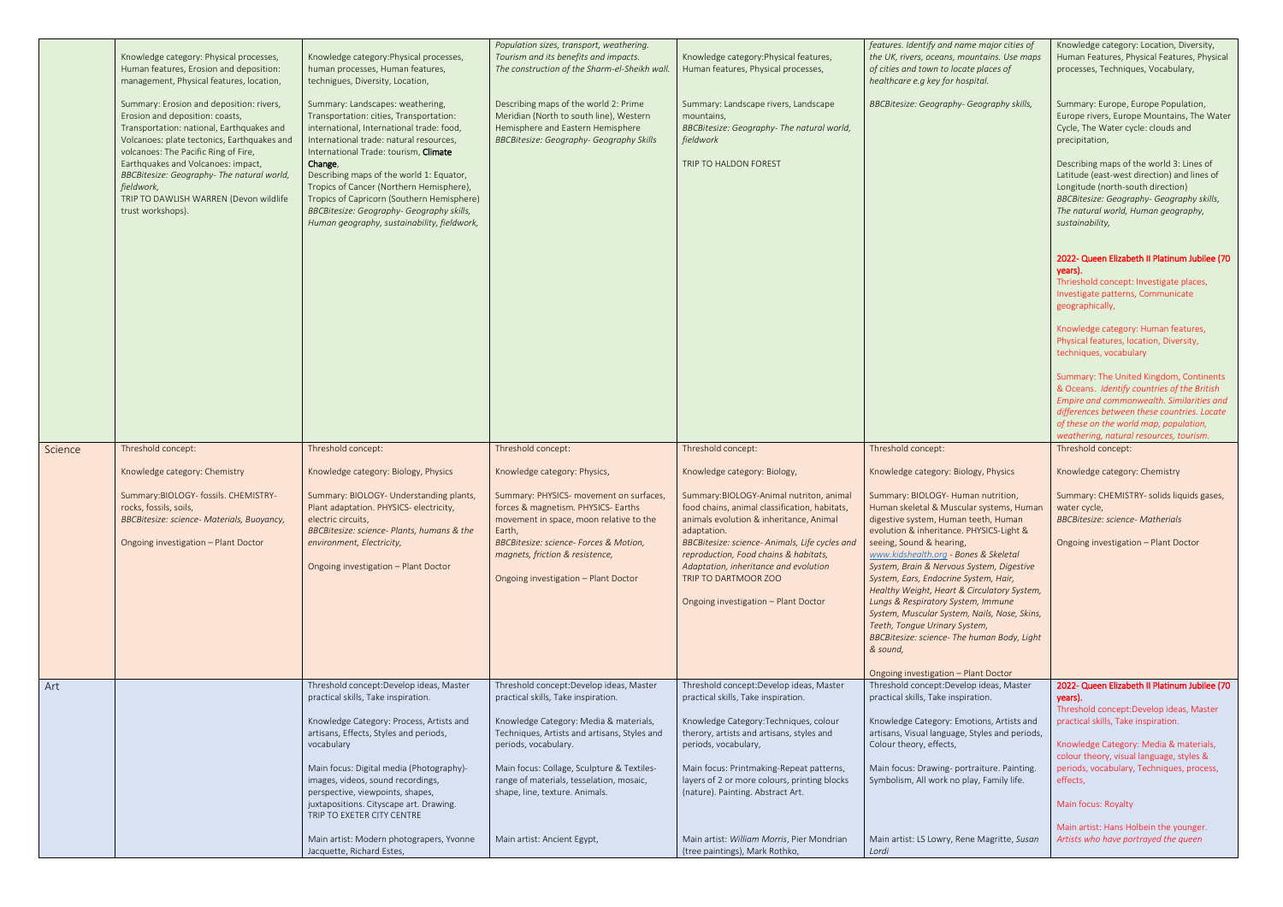|         | Knowledge category: Physical processes,<br>Human features, Erosion and deposition:<br>management, Physical features, location,<br>Summary: Erosion and deposition: rivers,<br>Erosion and deposition: coasts, | Knowledge category: Physical processes,<br>human processes, Human features,<br>technigues, Diversity, Location,<br>Summary: Landscapes: weathering,<br>Transportation: cities, Transportation:                                            | Population sizes, transport, weathering.<br>Tourism and its benefits and impacts.<br>The construction of the Sharm-el-Sheikh wall.<br>Describing maps of the world 2: Prime<br>Meridian (North to south line), Western | Knowledge category: Physical features,<br>Human features, Physical processes,<br>Summary: Landscape rivers, Landscape<br>mountains,                                                                   | features. Identify and name major cities of<br>the UK, rivers, oceans, mountains. Use maps<br>of cities and town to locate places of<br>healthcare e.g key for hospital.<br>BBCBitesize: Geography- Geography skills, | Knowledge category: Location, Diversity,<br>Human Features, Physical Features, Physical<br>processes, Techniques, Vocabulary,<br>Summary: Europe, Europe Population,<br>Europe rivers, Europe Mountains, The Water                                                      |
|---------|---------------------------------------------------------------------------------------------------------------------------------------------------------------------------------------------------------------|-------------------------------------------------------------------------------------------------------------------------------------------------------------------------------------------------------------------------------------------|------------------------------------------------------------------------------------------------------------------------------------------------------------------------------------------------------------------------|-------------------------------------------------------------------------------------------------------------------------------------------------------------------------------------------------------|-----------------------------------------------------------------------------------------------------------------------------------------------------------------------------------------------------------------------|-------------------------------------------------------------------------------------------------------------------------------------------------------------------------------------------------------------------------------------------------------------------------|
|         | Transportation: national, Earthquakes and<br>Volcanoes: plate tectonics, Earthquakes and<br>volcanoes: The Pacific Ring of Fire,                                                                              | international, International trade: food,<br>International trade: natural resources,<br>International Trade: tourism, Climate                                                                                                             | Hemisphere and Eastern Hemisphere<br><b>BBCBitesize: Geography- Geography Skills</b>                                                                                                                                   | BBCBitesize: Geography- The natural world,<br>fieldwork                                                                                                                                               |                                                                                                                                                                                                                       | Cycle, The Water cycle: clouds and<br>precipitation,                                                                                                                                                                                                                    |
|         | Earthquakes and Volcanoes: impact,<br>BBCBitesize: Geography- The natural world,<br>fieldwork,<br>TRIP TO DAWLISH WARREN (Devon wildlife<br>trust workshops).                                                 | Change,<br>Describing maps of the world 1: Equator,<br>Tropics of Cancer (Northern Hemisphere),<br>Tropics of Capricorn (Southern Hemisphere)<br>BBCBitesize: Geography- Geography skills,<br>Human geography, sustainability, fieldwork, |                                                                                                                                                                                                                        | TRIP TO HALDON FOREST                                                                                                                                                                                 |                                                                                                                                                                                                                       | Describing maps of the world 3: Lines of<br>Latitude (east-west direction) and lines of<br>Longitude (north-south direction)<br>BBCBitesize: Geography- Geography skills,<br>The natural world, Human geography,<br>sustainability,                                     |
|         |                                                                                                                                                                                                               |                                                                                                                                                                                                                                           |                                                                                                                                                                                                                        |                                                                                                                                                                                                       |                                                                                                                                                                                                                       | 2022- Queen Elizabeth II Platinum Jubilee (70<br>years).<br>Thrieshold concept: Investigate places,<br>Investigate patterns, Communicate<br>geographically,                                                                                                             |
|         |                                                                                                                                                                                                               |                                                                                                                                                                                                                                           |                                                                                                                                                                                                                        |                                                                                                                                                                                                       |                                                                                                                                                                                                                       | Knowledge category: Human features,<br>Physical features, location, Diversity,<br>techniques, vocabulary                                                                                                                                                                |
|         |                                                                                                                                                                                                               |                                                                                                                                                                                                                                           |                                                                                                                                                                                                                        |                                                                                                                                                                                                       |                                                                                                                                                                                                                       | Summary: The United Kingdom, Continents<br>& Oceans. Identify countries of the British<br>Empire and commonwealth. Similarities and<br>differences between these countries. Locate<br>of these on the world map, population,<br>weathering, natural resources, tourism. |
| Science | Threshold concept:                                                                                                                                                                                            | Threshold concept:                                                                                                                                                                                                                        | Threshold concept:                                                                                                                                                                                                     | Threshold concept:                                                                                                                                                                                    | Threshold concept:                                                                                                                                                                                                    | Threshold concept:                                                                                                                                                                                                                                                      |
|         | Knowledge category: Chemistry                                                                                                                                                                                 | Knowledge category: Biology, Physics                                                                                                                                                                                                      | Knowledge category: Physics,                                                                                                                                                                                           | Knowledge category: Biology,                                                                                                                                                                          | Knowledge category: Biology, Physics                                                                                                                                                                                  | Knowledge category: Chemistry                                                                                                                                                                                                                                           |
|         | Summary: BIOLOGY- fossils. CHEMISTRY-<br>rocks, fossils, soils,<br>BBCBitesize: science- Materials, Buoyancy,<br>Ongoing investigation - Plant Doctor                                                         | Summary: BIOLOGY- Understanding plants,<br>Plant adaptation. PHYSICS- electricity,<br>electric circuits,<br>BBCBitesize: science- Plants, humans & the<br>environment, Electricity,                                                       | Summary: PHYSICS- movement on surfaces,<br>forces & magnetism. PHYSICS- Earths<br>movement in space, moon relative to the<br>Earth,<br>BBCBitesize: science- Forces & Motion,                                          | Summary: BIOLOGY-Animal nutriton, animal<br>food chains, animal classification, habitats,<br>animals evolution & inheritance, Animal<br>adaptation.<br>BBCBitesize: science- Animals, Life cycles and | Summary: BIOLOGY- Human nutrition,<br>Human skeletal & Muscular systems, Human<br>digestive system, Human teeth, Human<br>evolution & inheritance. PHYSICS-Light &<br>seeing, Sound & hearing,                        | Summary: CHEMISTRY- solids liquids gases,<br>water cycle,<br><b>BBCBitesize: science- Matherials</b><br>Ongoing investigation - Plant Doctor                                                                                                                            |
|         |                                                                                                                                                                                                               | Ongoing investigation - Plant Doctor                                                                                                                                                                                                      | magnets, friction & resistence,<br>Ongoing investigation - Plant Doctor                                                                                                                                                | reproduction, Food chains & habitats,<br>Adaptation, inheritance and evolution<br>TRIP TO DARTMOOR ZOO                                                                                                | www.kidshealth.org - Bones & Skeletal<br>System, Brain & Nervous System, Digestive<br>System, Ears, Endocrine System, Hair,<br>Healthy Weight, Heart & Circulatory System,                                            |                                                                                                                                                                                                                                                                         |
|         |                                                                                                                                                                                                               |                                                                                                                                                                                                                                           |                                                                                                                                                                                                                        | Ongoing investigation - Plant Doctor                                                                                                                                                                  | Lungs & Respiratory System, Immune<br>System, Muscular System, Nails, Nose, Skins,<br>Teeth, Tongue Urinary System,<br>BBCBitesize: science- The human Body, Light                                                    |                                                                                                                                                                                                                                                                         |
|         |                                                                                                                                                                                                               |                                                                                                                                                                                                                                           |                                                                                                                                                                                                                        |                                                                                                                                                                                                       | & sound,                                                                                                                                                                                                              |                                                                                                                                                                                                                                                                         |
| Art     |                                                                                                                                                                                                               | Threshold concept: Develop ideas, Master                                                                                                                                                                                                  | Threshold concept: Develop ideas, Master                                                                                                                                                                               | Threshold concept: Develop ideas, Master                                                                                                                                                              | Ongoing investigation - Plant Doctor<br>Threshold concept: Develop ideas, Master                                                                                                                                      | 2022- Queen Elizabeth II Platinum Jubilee (70                                                                                                                                                                                                                           |
|         |                                                                                                                                                                                                               | practical skills, Take inspiration.                                                                                                                                                                                                       | practical skills, Take inspiration.                                                                                                                                                                                    | practical skills, Take inspiration.                                                                                                                                                                   | practical skills, Take inspiration.                                                                                                                                                                                   | years).<br>Threshold concept: Develop ideas, Master                                                                                                                                                                                                                     |
|         |                                                                                                                                                                                                               | Knowledge Category: Process, Artists and                                                                                                                                                                                                  | Knowledge Category: Media & materials,                                                                                                                                                                                 | Knowledge Category: Techniques, colour                                                                                                                                                                | Knowledge Category: Emotions, Artists and                                                                                                                                                                             | practical skills, Take inspiration.                                                                                                                                                                                                                                     |
|         |                                                                                                                                                                                                               | artisans, Effects, Styles and periods,<br>vocabulary                                                                                                                                                                                      | Techniques, Artists and artisans, Styles and<br>periods, vocabulary.                                                                                                                                                   | therory, artists and artisans, styles and<br>periods, vocabulary,                                                                                                                                     | artisans, Visual language, Styles and periods,<br>Colour theory, effects,                                                                                                                                             | Knowledge Category: Media & materials,                                                                                                                                                                                                                                  |
|         |                                                                                                                                                                                                               | Main focus: Digital media (Photography)-<br>images, videos, sound recordings,<br>perspective, viewpoints, shapes,                                                                                                                         | Main focus: Collage, Sculpture & Textiles-<br>range of materials, tesselation, mosaic,<br>shape, line, texture. Animals.                                                                                               | Main focus: Printmaking-Repeat patterns,<br>layers of 2 or more colours, printing blocks<br>(nature). Painting. Abstract Art.                                                                         | Main focus: Drawing- portraiture. Painting.<br>Symbolism, All work no play, Family life.                                                                                                                              | colour theory, visual language, styles &<br>periods, vocabulary, Techniques, process,<br>effects,                                                                                                                                                                       |
|         |                                                                                                                                                                                                               | juxtapositions. Cityscape art. Drawing.<br>TRIP TO EXETER CITY CENTRE                                                                                                                                                                     |                                                                                                                                                                                                                        |                                                                                                                                                                                                       |                                                                                                                                                                                                                       | Main focus: Royalty                                                                                                                                                                                                                                                     |
|         |                                                                                                                                                                                                               | Main artist: Modern photograpers, Yvonne<br>Jacquette, Richard Estes,                                                                                                                                                                     | Main artist: Ancient Egypt,                                                                                                                                                                                            | Main artist: William Morris, Pier Mondrian<br>(tree paintings), Mark Rothko,                                                                                                                          | Main artist: LS Lowry, Rene Magritte, Susan<br>Lordi                                                                                                                                                                  | Main artist: Hans Holbein the younger.<br>Artists who have portrayed the queen                                                                                                                                                                                          |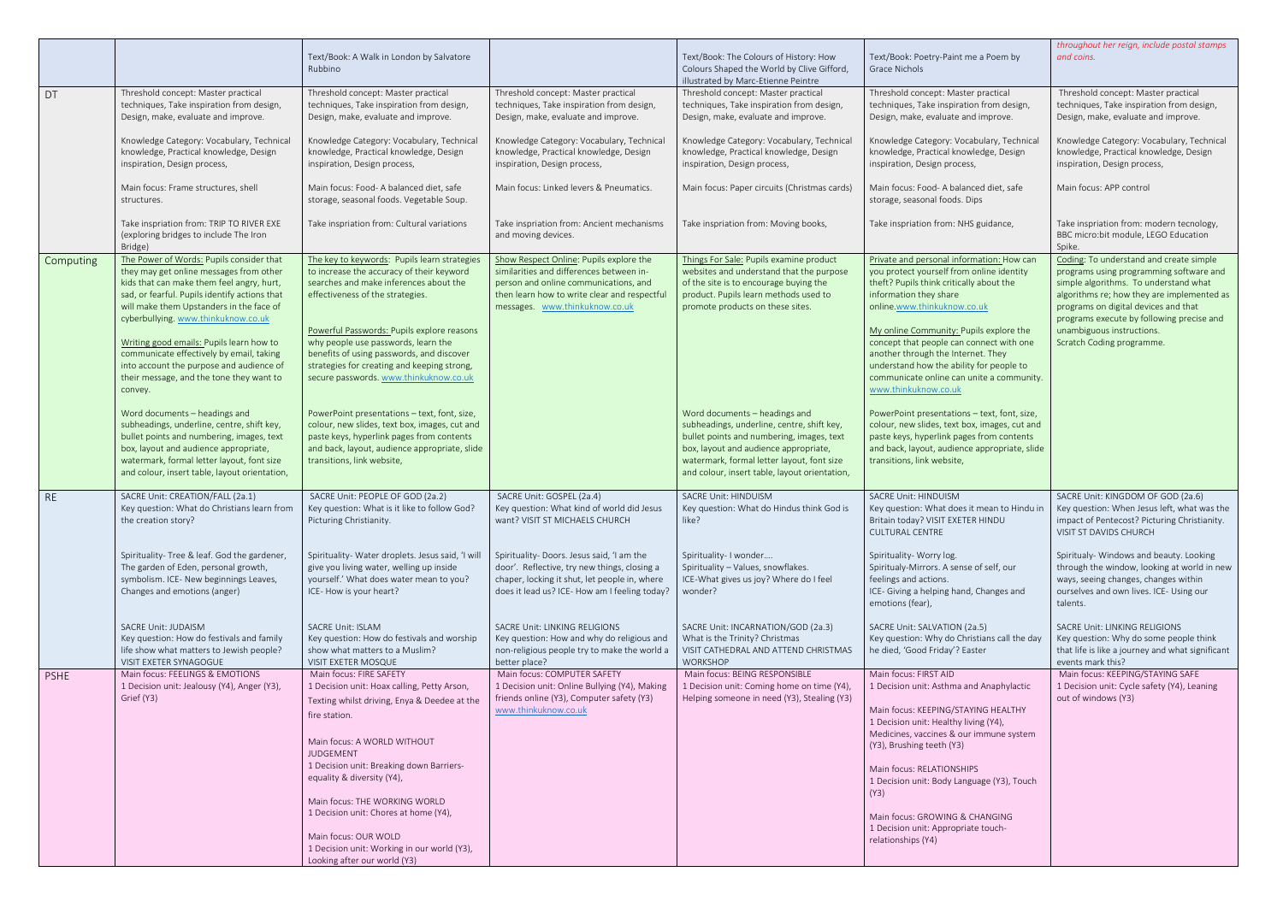|             |                                                                                                                                                                                                                                                                                                                                                                                                                                                                 | Text/Book: A Walk in London by Salvatore<br>Rubbino                                                                                                                                                                                                                                                                                                                                                                                            |                                                                                                                                                                                                                | Text/Book: The Colours of History: How<br>Colours Shaped the World by Clive Gifford,<br>illustrated by Marc-Etienne Peintre                                                                                                                                      | Text/Book: Poetry-Paint me a Poem by<br>Grace Nichols                                                                                                                                                                                                                                                                                                                                                                                     | throughout her reign, include postal stamps<br>and coins.                                                                                                                                                                                                                                                                |
|-------------|-----------------------------------------------------------------------------------------------------------------------------------------------------------------------------------------------------------------------------------------------------------------------------------------------------------------------------------------------------------------------------------------------------------------------------------------------------------------|------------------------------------------------------------------------------------------------------------------------------------------------------------------------------------------------------------------------------------------------------------------------------------------------------------------------------------------------------------------------------------------------------------------------------------------------|----------------------------------------------------------------------------------------------------------------------------------------------------------------------------------------------------------------|------------------------------------------------------------------------------------------------------------------------------------------------------------------------------------------------------------------------------------------------------------------|-------------------------------------------------------------------------------------------------------------------------------------------------------------------------------------------------------------------------------------------------------------------------------------------------------------------------------------------------------------------------------------------------------------------------------------------|--------------------------------------------------------------------------------------------------------------------------------------------------------------------------------------------------------------------------------------------------------------------------------------------------------------------------|
| DT          | Threshold concept: Master practical<br>techniques, Take inspiration from design,<br>Design, make, evaluate and improve.                                                                                                                                                                                                                                                                                                                                         | Threshold concept: Master practical<br>techniques, Take inspiration from design,<br>Design, make, evaluate and improve.                                                                                                                                                                                                                                                                                                                        | Threshold concept: Master practical<br>techniques, Take inspiration from design,<br>Design, make, evaluate and improve.                                                                                        | Threshold concept: Master practical<br>techniques, Take inspiration from design,<br>Design, make, evaluate and improve.                                                                                                                                          | Threshold concept: Master practical<br>techniques, Take inspiration from design,<br>Design, make, evaluate and improve.                                                                                                                                                                                                                                                                                                                   | Threshold concept: Master practical<br>techniques, Take inspiration from design,<br>Design, make, evaluate and improve.                                                                                                                                                                                                  |
|             | Knowledge Category: Vocabulary, Technical<br>knowledge, Practical knowledge, Design<br>inspiration, Design process,                                                                                                                                                                                                                                                                                                                                             | Knowledge Category: Vocabulary, Technical<br>knowledge, Practical knowledge, Design<br>inspiration, Design process,                                                                                                                                                                                                                                                                                                                            | Knowledge Category: Vocabulary, Technical<br>knowledge, Practical knowledge, Design<br>inspiration, Design process,                                                                                            | Knowledge Category: Vocabulary, Technical<br>knowledge, Practical knowledge, Design<br>inspiration, Design process,                                                                                                                                              | Knowledge Category: Vocabulary, Technical<br>knowledge, Practical knowledge, Design<br>inspiration, Design process,                                                                                                                                                                                                                                                                                                                       | Knowledge Category: Vocabulary, Technical<br>knowledge, Practical knowledge, Design<br>inspiration, Design process,                                                                                                                                                                                                      |
|             | Main focus: Frame structures, shell<br>structures.                                                                                                                                                                                                                                                                                                                                                                                                              | Main focus: Food- A balanced diet, safe<br>storage, seasonal foods. Vegetable Soup.                                                                                                                                                                                                                                                                                                                                                            | Main focus: Linked levers & Pneumatics.                                                                                                                                                                        | Main focus: Paper circuits (Christmas cards)                                                                                                                                                                                                                     | Main focus: Food- A balanced diet, safe<br>storage, seasonal foods. Dips                                                                                                                                                                                                                                                                                                                                                                  | Main focus: APP control                                                                                                                                                                                                                                                                                                  |
|             | Take inspriation from: TRIP TO RIVER EXE<br>(exploring bridges to include The Iron<br>Bridge)                                                                                                                                                                                                                                                                                                                                                                   | Take inspriation from: Cultural variations                                                                                                                                                                                                                                                                                                                                                                                                     | Take inspriation from: Ancient mechanisms<br>and moving devices.                                                                                                                                               | Take inspriation from: Moving books,                                                                                                                                                                                                                             | Take inspriation from: NHS guidance,                                                                                                                                                                                                                                                                                                                                                                                                      | Take inspriation from: modern tecnology,<br>BBC micro:bit module, LEGO Education<br>Spike.                                                                                                                                                                                                                               |
| Computing   | The Power of Words: Pupils consider that<br>they may get online messages from other<br>kids that can make them feel angry, hurt,<br>sad, or fearful. Pupils identify actions that<br>will make them Upstanders in the face of<br>cyberbullying. www.thinkuknow.co.uk<br>Writing good emails: Pupils learn how to<br>communicate effectively by email, taking<br>into account the purpose and audience of<br>their message, and the tone they want to<br>convey. | The key to keywords: Pupils learn strategies<br>to increase the accuracy of their keyword<br>searches and make inferences about the<br>effectiveness of the strategies.<br>Powerful Passwords: Pupils explore reasons<br>why people use passwords, learn the<br>benefits of using passwords, and discover<br>strategies for creating and keeping strong,<br>secure passwords. www.thinkuknow.co.uk                                             | Show Respect Online: Pupils explore the<br>similarities and differences between in-<br>person and online communications, and<br>then learn how to write clear and respectful<br>messages. www.thinkuknow.co.uk | Things For Sale: Pupils examine product<br>websites and understand that the purpose<br>of the site is to encourage buying the<br>product. Pupils learn methods used to<br>promote products on these sites.                                                       | Private and personal information: How can<br>you protect yourself from online identity<br>theft? Pupils think critically about the<br>information they share<br>online.www.thinkuknow.co.uk<br>My online Community: Pupils explore the<br>concept that people can connect with one<br>another through the Internet. They<br>understand how the ability for people to<br>communicate online can unite a community.<br>www.thinkuknow.co.uk | Coding: To understand and create simple<br>programs using programming software and<br>simple algorithms. To understand what<br>algorithms re; how they are implemented as<br>programs on digital devices and that<br>programs execute by following precise and<br>unambiguous instructions.<br>Scratch Coding programme. |
|             | Word documents - headings and<br>subheadings, underline, centre, shift key,<br>bullet points and numbering, images, text<br>box, layout and audience appropriate,<br>watermark, formal letter layout, font size<br>and colour, insert table, layout orientation,                                                                                                                                                                                                | PowerPoint presentations - text, font, size,<br>colour, new slides, text box, images, cut and<br>paste keys, hyperlink pages from contents<br>and back, layout, audience appropriate, slide<br>transitions, link website,                                                                                                                                                                                                                      |                                                                                                                                                                                                                | Word documents - headings and<br>subheadings, underline, centre, shift key,<br>bullet points and numbering, images, text<br>box, layout and audience appropriate,<br>watermark, formal letter layout, font size<br>and colour, insert table, layout orientation, | PowerPoint presentations - text, font, size,<br>colour, new slides, text box, images, cut and<br>paste keys, hyperlink pages from contents<br>and back, layout, audience appropriate, slide<br>transitions, link website,                                                                                                                                                                                                                 |                                                                                                                                                                                                                                                                                                                          |
| <b>RE</b>   | SACRE Unit: CREATION/FALL (2a.1)<br>Key question: What do Christians learn from<br>the creation story?                                                                                                                                                                                                                                                                                                                                                          | SACRE Unit: PEOPLE OF GOD (2a.2)<br>Key question: What is it like to follow God?<br>Picturing Christianity.                                                                                                                                                                                                                                                                                                                                    | SACRE Unit: GOSPEL (2a.4)<br>Key question: What kind of world did Jesus<br>want? VISIT ST MICHAELS CHURCH                                                                                                      | <b>SACRE Unit: HINDUISM</b><br>Key question: What do Hindus think God is<br>like?                                                                                                                                                                                | <b>SACRE Unit: HINDUISM</b><br>Key question: What does it mean to Hindu in<br>Britain today? VISIT EXETER HINDU<br><b>CULTURAL CENTRE</b>                                                                                                                                                                                                                                                                                                 | SACRE Unit: KINGDOM OF GOD (2a.6)<br>Key question: When Jesus left, what was the<br>impact of Pentecost? Picturing Christianity.<br>VISIT ST DAVIDS CHURCH                                                                                                                                                               |
|             | Spirituality- Tree & leaf. God the gardener,<br>The garden of Eden, personal growth,<br>symbolism. ICE- New beginnings Leaves,<br>Changes and emotions (anger)                                                                                                                                                                                                                                                                                                  | Spirituality- Water droplets. Jesus said, 'I will<br>give you living water, welling up inside<br>yourself.' What does water mean to you?<br>ICE-How is your heart?                                                                                                                                                                                                                                                                             | Spirituality- Doors. Jesus said, 'I am the<br>door'. Reflective, try new things, closing a<br>chaper, locking it shut, let people in, where<br>does it lead us? ICE- How am I feeling today?                   | Spirituality- I wonder<br>Spirituality - Values, snowflakes.<br>ICE-What gives us joy? Where do I feel<br>wonder?                                                                                                                                                | Spirituality- Worry log.<br>Spiritualy-Mirrors. A sense of self, our<br>feelings and actions.<br>ICE- Giving a helping hand, Changes and<br>emotions (fear),                                                                                                                                                                                                                                                                              | Spiritualy- Windows and beauty. Looking<br>through the window, looking at world in new<br>ways, seeing changes, changes within<br>ourselves and own lives. ICE- Using our<br>talents.                                                                                                                                    |
|             | SACRE Unit: JUDAISM<br>Key question: How do festivals and family<br>life show what matters to Jewish people?<br>VISIT EXETER SYNAGOGUE                                                                                                                                                                                                                                                                                                                          | <b>SACRE Unit: ISLAM</b><br>Key question: How do festivals and worship<br>show what matters to a Muslim?<br>VISIT EXETER MOSQUE                                                                                                                                                                                                                                                                                                                | SACRE Unit: LINKING RELIGIONS<br>Key question: How and why do religious and<br>non-religious people try to make the world a<br>better place?                                                                   | SACRE Unit: INCARNATION/GOD (2a.3)<br>What is the Trinity? Christmas<br>VISIT CATHEDRAL AND ATTEND CHRISTMAS<br><b>WORKSHOP</b>                                                                                                                                  | SACRE Unit: SALVATION (2a.5)<br>Key question: Why do Christians call the day<br>he died, 'Good Friday'? Easter                                                                                                                                                                                                                                                                                                                            | SACRE Unit: LINKING RELIGIONS<br>Key question: Why do some people think<br>that life is like a journey and what significant<br>events mark this?                                                                                                                                                                         |
| <b>PSHE</b> | Main focus: FEELINGS & EMOTIONS<br>1 Decision unit: Jealousy (Y4), Anger (Y3),<br>Grief (Y3)                                                                                                                                                                                                                                                                                                                                                                    | Main focus: FIRE SAFETY<br>1 Decision unit: Hoax calling, Petty Arson,<br>Texting whilst driving, Enya & Deedee at the<br>fire station.<br>Main focus: A WORLD WITHOUT<br>JUDGEMENT<br>1 Decision unit: Breaking down Barriers-<br>equality & diversity (Y4),<br>Main focus: THE WORKING WORLD<br>1 Decision unit: Chores at home (Y4),<br>Main focus: OUR WOLD<br>1 Decision unit: Working in our world (Y3),<br>Looking after our world (Y3) | Main focus: COMPUTER SAFETY<br>1 Decision unit: Online Bullying (Y4), Making<br>friends online (Y3), Computer safety (Y3)<br>www.thinkuknow.co.uk                                                              | Main focus: BEING RESPONSIBLE<br>1 Decision unit: Coming home on time (Y4),<br>Helping someone in need (Y3), Stealing (Y3)                                                                                                                                       | Main focus: FIRST AID<br>1 Decision unit: Asthma and Anaphylactic<br>Main focus: KEEPING/STAYING HEALTHY<br>1 Decision unit: Healthy living (Y4),<br>Medicines, vaccines & our immune system<br>(Y3), Brushing teeth (Y3)<br>Main focus: RELATIONSHIPS<br>1 Decision unit: Body Language (Y3), Touch<br>(Y3)<br>Main focus: GROWING & CHANGING<br>1 Decision unit: Appropriate touch-<br>relationships (Y4)                               | Main focus: KEEPING/STAYING SAFE<br>1 Decision unit: Cycle safety (Y4), Leaning<br>out of windows (Y3)                                                                                                                                                                                                                   |